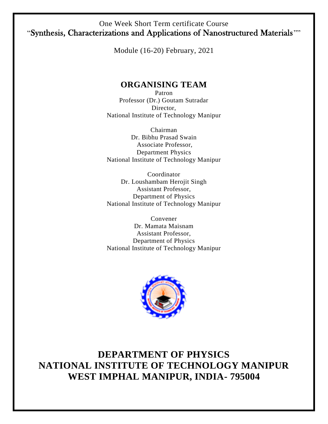#### One Week Short Term certificate Course "Synthesis, Characterizations and Applications of Nanostructured Materials ""

Module (16-20) February, 2021

### **ORGANISING TEAM**

Patron Professor (Dr.) Goutam Sutradar Director, National Institute of Technology Manipur

Chairman Dr. Bibhu Prasad Swain Associate Professor, Department Physics National Institute of Technology Manipur

Coordinator Dr. Loushambam Herojit Singh Assistant Professor, Department of Physics National Institute of Technology Manipur

Convener Dr. Mamata Maisnam Assistant Professor, Department of Physics National Institute of Technology Manipur



# **DEPARTMENT OF PHYSICS NATIONAL INSTITUTE OF TECHNOLOGY MANIPUR WEST IMPHAL MANIPUR, INDIA- 795004**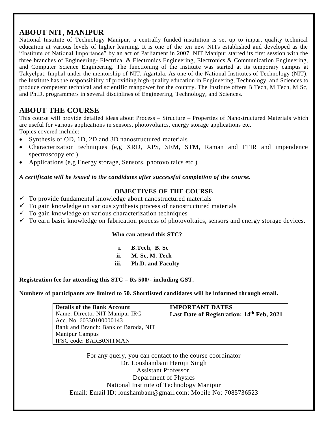#### **ABOUT NIT, MANIPUR**

National Institute of Technology Manipur, a centrally funded institution is set up to impart quality technical education at various levels of higher learning. It is one of the ten new NITs established and developed as the "Institute of National Importance" by an act of Parliament in 2007. NIT Manipur started its first session with the three branches of Engineering- Electrical & Electronics Engineering, Electronics & Communication Engineering, and Computer Science Engineering. The functioning of the institute was started at its temporary campus at Takyelpat, Imphal under the mentorship of NIT, Agartala. As one of the National Institutes of Technology (NIT), the Institute has the responsibility of providing high-quality education in Engineering, Technology, and Sciences to produce competent technical and scientific manpower for the country. The Institute offers B Tech, M Tech, M Sc, and Ph.D. programmers in several disciplines of Engineering, Technology, and Sciences.

### **ABOUT THE COURSE**

This course will provide detailed ideas about Process – Structure – Properties of Nanostructured Materials which are useful for various applications in sensors, photovoltaics, energy storage applications etc. Topics covered include:

- Synthesis of OD, 1D, 2D and 3D nanostructured materials
- Characterization techniques (e,g XRD, XPS, SEM, STM, Raman and FTIR and impendence spectroscopy etc.)
- Applications (e,g Energy storage, Sensors, photovoltaics etc.)

*A certificate will be issued to the candidates after successful completion of the course.* 

#### **OBJECTIVES OF THE COURSE**

- $\checkmark$  To provide fundamental knowledge about nanostructured materials
- $\checkmark$  To gain knowledge on various synthesis process of nanostructured materials
- $\checkmark$  To gain knowledge on various characterization techniques
- $\checkmark$  To earn basic knowledge on fabrication process of photovoltaics, sensors and energy storage devices.

#### **Who can attend this STC?**

| i.   | B.Tech, B.Sc             |
|------|--------------------------|
| ii.  | M. Sc, M. Tech           |
| iii. | <b>Ph.D. and Faculty</b> |

**Registration fee for attending this STC = Rs 500/- including GST.** 

**Numbers of participants are limited to 50. Shortlisted candidates will be informed through email.**

| <b>Details of the Bank Account</b>   | <b>IMPORTANT DATES</b>                    |
|--------------------------------------|-------------------------------------------|
| Name: Director NIT Manipur IRG       | Last Date of Registration: 14th Feb, 2021 |
| Acc. No. 60330100000143              |                                           |
| Bank and Branch: Bank of Baroda, NIT |                                           |
| <b>Manipur Campus</b>                |                                           |
| IFSC code: BARB0NITMAN               |                                           |

For any query, you can contact to the course coordinator Dr. Loushambam Herojit Singh Assistant Professor, Department of Physics National Institute of Technology Manipur Email: Email ID: loushambam@gmail.com; Mobile No: 7085736523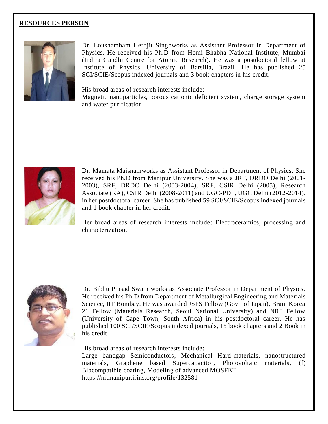#### **RESOURCES PERSON**



Dr. Loushambam Herojit Singhworks as Assistant Professor in Department of Physics. He received his Ph.D from Homi Bhabha National Institute, Mumbai (Indira Gandhi Centre for Atomic Research). He was a postdoctoral fellow at Institute of Physics, University of Barsilia, Brazil. He has published 25 SCI/SCIE/Scopus indexed journals and 3 book chapters in his credit.

His broad areas of research interests include:

Magnetic nanoparticles, porous cationic deficient system, charge storage system and water purification.



Dr. Mamata Maisnamworks as Assistant Professor in Department of Physics. She received his Ph.D from Manipur University. She was a JRF, DRDO Delhi (2001- 2003), SRF, DRDO Delhi (2003-2004), SRF, CSIR Delhi (2005), Research Associate (RA), CSIR Delhi (2008-2011) and UGC-PDF, UGC Delhi (2012-2014), in her postdoctoral career. She has published 59 SCI/SCIE/Scopus indexed journals and 1 book chapter in her credit.

Her broad areas of research interests include: Electroceramics, processing and characterization.



Dr. Bibhu Prasad Swain works as Associate Professor in Department of Physics. He received his Ph.D from Department of Metallurgical Engineering and Materials Science, IIT Bombay. He was awarded JSPS Fellow (Govt. of Japan), Brain Korea 21 Fellow (Materials Research, Seoul National University) and NRF Fellow (University of Cape Town, South Africa) in his postdoctoral career. He has published 100 SCI/SCIE/Scopus indexed journals, 15 book chapters and 2 Book in his credit.

His broad areas of research interests include:

Large bandgap Semiconductors, Mechanical Hard-materials, nanostructured materials, Graphene based Supercapacitor, Photovoltaic materials, (f) Biocompatible coating, Modeling of advanced MOSFET https://nitmanipur.irins.org/profile/132581